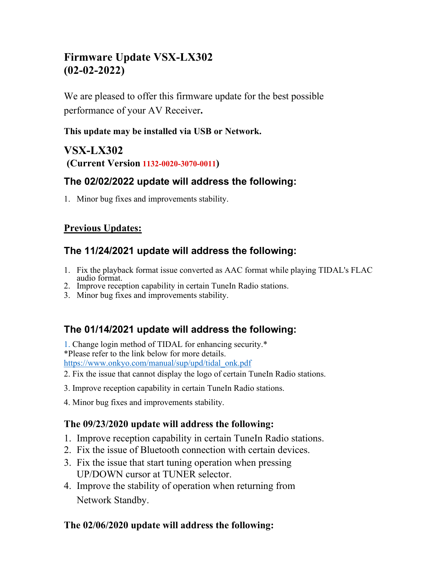# **Firmware Update VSX-LX302 (02-02-2022)**

We are pleased to offer this firmware update for the best possible performance of your AV Receiver**.**

#### **This update may be installed via USB or Network.**

# **VSX-LX302 (Current Version 1132-0020-3070-0011)**

## **The 02/02/2022 update will address the following:**

1. Minor bug fixes and improvements stability.

### **Previous Updates:**

## **The 11/24/2021 update will address the following:**

- 1. Fix the playback format issue converted as AAC format while playing TIDAL's FLAC
- 2. Improve reception capability in certain TuneIn Radio stations.
- 3. Minor bug fixes and improvements stability.

## **The 01/14/2021 update will address the following:**

1. Change login method of TIDAL for enhancing security.\* \*Please refer to the link below for more details.

[https://www.onkyo.com/manual/sup/upd/tidal\\_onk.pdf](https://www.onkyo.com/manual/sup/upd/tidal_onk.pdf)

- 2. Fix the issue that cannot display the logo of certain TuneIn Radio stations.
- 3. Improve reception capability in certain TuneIn Radio stations.
- 4. Minor bug fixes and improvements stability.

#### **The 09/23/2020 update will address the following:**

- 1. Improve reception capability in certain TuneIn Radio stations.
- 2. Fix the issue of Bluetooth connection with certain devices.
- 3. Fix the issue that start tuning operation when pressing UP/DOWN cursor at TUNER selector.
- 4. Improve the stability of operation when returning from Network Standby.

### **The 02/06/2020 update will address the following:**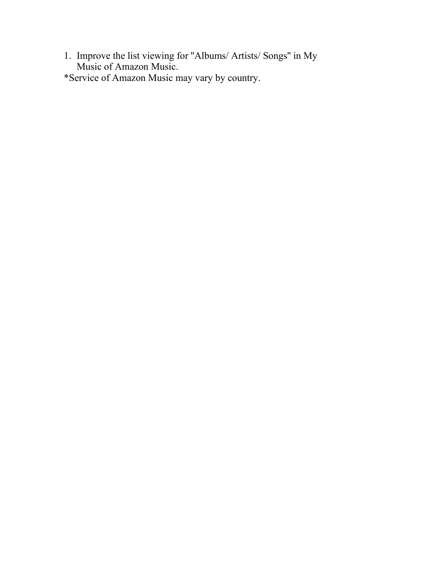- 1. Improve the list viewing for ''Albums/ Artists/ Songs'' in My Music of Amazon Music.
- \*Service of Amazon Music may vary by country.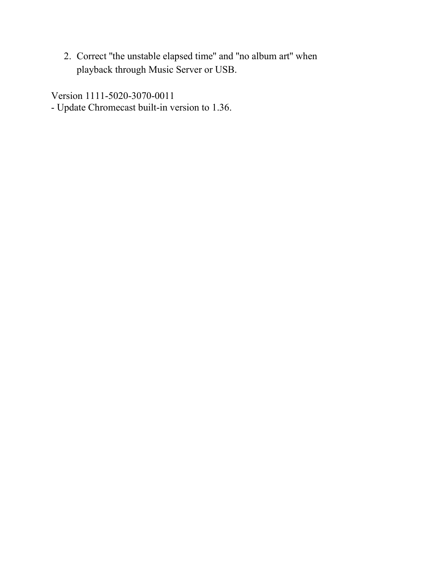2. Correct ''the unstable elapsed time'' and ''no album art'' when playback through Music Server or USB.

Version 1111-5020-3070-0011

- Update Chromecast built-in version to 1.36.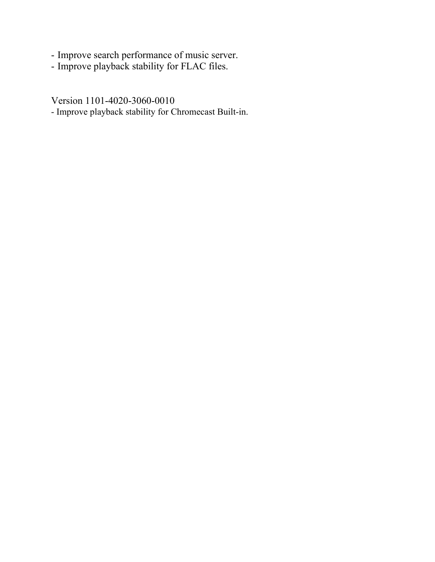- Improve search performance of music server.
- Improve playback stability for FLAC files.

Version 1101-4020-3060-0010

- Improve playback stability for Chromecast Built-in.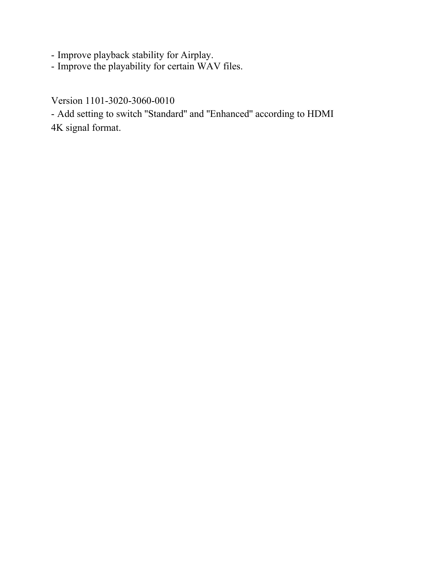- Improve playback stability for Airplay.

- Improve the playability for certain WAV files.

Version 1101-3020-3060-0010

- Add setting to switch ''Standard'' and ''Enhanced'' according to HDMI 4K signal format.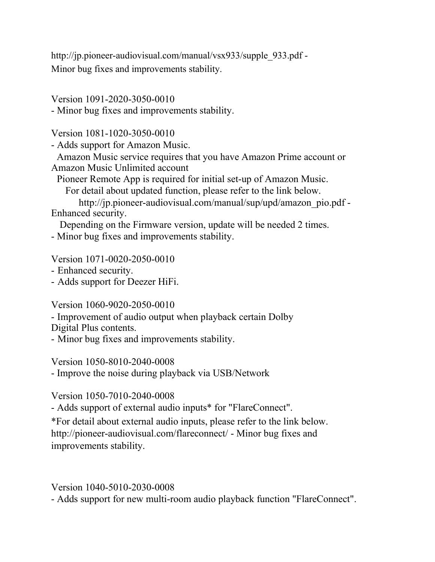http://jp.pioneer-audiovisual.com/manual/vsx933/supple\_933.pdf -Minor bug fixes and improvements stability.

Version 1091-2020-3050-0010

- Minor bug fixes and improvements stability.

Version 1081-1020-3050-0010

- Adds support for Amazon Music.

Amazon Music service requires that you have Amazon Prime account or Amazon Music Unlimited account

Pioneer Remote App is required for initial set-up of Amazon Music.

For detail about updated function, please refer to the link below.

http://jp.pioneer-audiovisual.com/manual/sup/upd/amazon\_pio.pdf -Enhanced security.

Depending on the Firmware version, update will be needed 2 times.

- Minor bug fixes and improvements stability.

Version 1071-0020-2050-0010

- Enhanced security.

- Adds support for Deezer HiFi.

Version 1060-9020-2050-0010

- Improvement of audio output when playback certain Dolby

Digital Plus contents.

- Minor bug fixes and improvements stability.

Version 1050-8010-2040-0008

- Improve the noise during playback via USB/Network

Version 1050-7010-2040-0008

- Adds support of external audio inputs\* for "FlareConnect".

\*For detail about external audio inputs, please refer to the link below. http://pioneer-audiovisual.com/flareconnect/ - Minor bug fixes and improvements stability.

Version 1040-5010-2030-0008

- Adds support for new multi-room audio playback function "FlareConnect".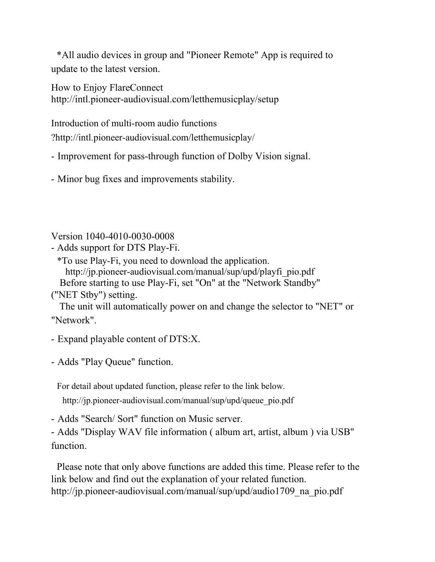\*All audio devices in group and "Pioneer Remote" App is required to update to the latest version.

How to Enjoy FlareConnect http://intl.pioneer-audiovisual.com/letthemusicplay/setup

Introduction of multi-room audio functions

?http://intl.pioneer-audiovisual.com/letthemusicplay/

- Improvement for pass-through function of Dolby Vision signal.

- Minor bug fixes and improvements stability.

Version 1040-4010-0030-0008

- Adds support for DTS Play-Fi.

\*To use Play-Fi, you need to download the application.

http://jp.pioneer-audiovisual.com/manual/sup/upd/playfi\_pio.pdf

Before starting to use Play-Fi, set "On" at the "Network Standby"

("NET Stby") setting.

The unit will automatically power on and change the selector to "NET" or "Network".

- Expand playable content of DTS:X.

- Adds "Play Queue" function.

For detail about updated function, please refer to the link below.

http://jp.pioneer-audiovisual.com/manual/sup/upd/queue\_pio.pdf

- Adds "Search/ Sort" function on Music server.

- Adds "Display WAV file information ( album art, artist, album ) via USB" function.

Please note that only above functions are added this time. Please refer to the link below and find out the explanation of your related function. http://jp.pioneer-audiovisual.com/manual/sup/upd/audio1709 na pio.pdf